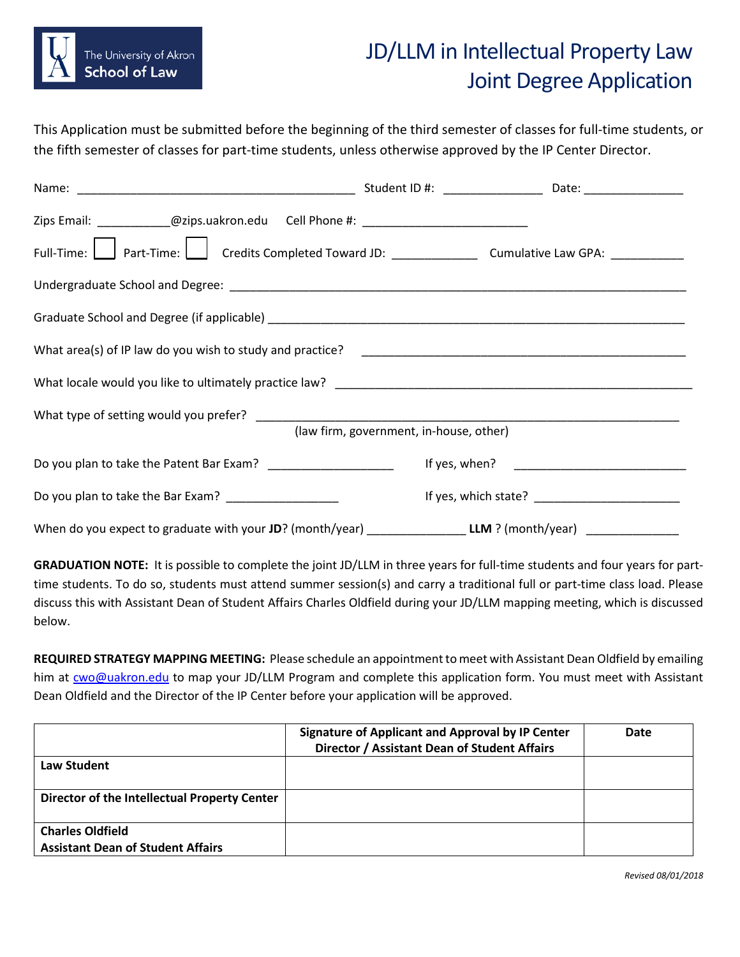

## JD/LLM in Intellectual Property Law Joint Degree Application

This Application must be submitted before the beginning of the third semester of classes for full-time students, or the fifth semester of classes for part-time students, unless otherwise approved by the IP Center Director.

| Zips Email: _____________@zips.uakron.edu Cell Phone #: _________________________                             |                                         |  |
|---------------------------------------------------------------------------------------------------------------|-----------------------------------------|--|
| Full-Time: Part-Time: Credits Completed Toward JD: _______________________ Cumulative Law GPA: ___________    |                                         |  |
|                                                                                                               |                                         |  |
|                                                                                                               |                                         |  |
|                                                                                                               |                                         |  |
|                                                                                                               |                                         |  |
|                                                                                                               | (law firm, government, in-house, other) |  |
| Do you plan to take the Patent Bar Exam? _______________________                                              |                                         |  |
| Do you plan to take the Bar Exam? ______________________                                                      |                                         |  |
| When do you expect to graduate with your JD? (month/year) __________________LLM ? (month/year) ______________ |                                         |  |

**GRADUATION NOTE:** It is possible to complete the joint JD/LLM in three years for full-time students and four years for parttime students. To do so, students must attend summer session(s) and carry a traditional full or part-time class load. Please discuss this with Assistant Dean of Student Affairs Charles Oldfield during your JD/LLM mapping meeting, which is discussed below.

**REQUIRED STRATEGY MAPPING MEETING:** Please schedule an appointment to meet with Assistant Dean Oldfield by emailing him at **cwo@uakron.edu** to map your JD/LLM Program and complete this application form. You must meet with Assistant Dean Oldfield and the Director of the IP Center before your application will be approved.

|                                                                     | Signature of Applicant and Approval by IP Center<br>Director / Assistant Dean of Student Affairs | Date |
|---------------------------------------------------------------------|--------------------------------------------------------------------------------------------------|------|
| Law Student                                                         |                                                                                                  |      |
| Director of the Intellectual Property Center                        |                                                                                                  |      |
| <b>Charles Oldfield</b><br><b>Assistant Dean of Student Affairs</b> |                                                                                                  |      |

*Revised 08/01/2018*